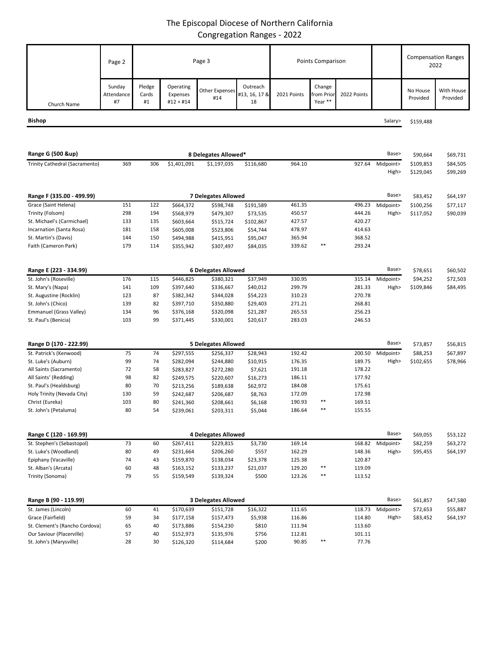## The Episcopal Diocese of Northern California Congregation Ranges - 2022

|                                | Page 2                     | Page 3                |                                    |                              | Points Comparison               |             |                                |             | <b>Compensation Ranges</b><br>2022 |                      |                        |
|--------------------------------|----------------------------|-----------------------|------------------------------------|------------------------------|---------------------------------|-------------|--------------------------------|-------------|------------------------------------|----------------------|------------------------|
| Church Name                    | Sunday<br>Attendance<br>#7 | Pledge<br>Cards<br>#1 | Operating<br>Expenses<br>#12 + #14 | <b>Other Expenses</b><br>#14 | Outreach<br>#13, 16, 17 &<br>18 | 2021 Points | Change<br>rom Prior<br>Year ** | 2022 Points |                                    | No House<br>Provided | With House<br>Provided |
|                                |                            |                       |                                    |                              |                                 |             |                                |             |                                    |                      |                        |
| Bishop                         |                            |                       |                                    |                              |                                 |             |                                |             | Salary>                            | \$159,488            |                        |
|                                |                            |                       |                                    |                              |                                 |             |                                |             |                                    |                      |                        |
| Range G (500 &up)              |                            |                       |                                    | 8 Delegates Allowed*         |                                 |             |                                |             | Base>                              | \$90,664             | \$69,731               |
| Trinity Cathedral (Sacramento) | 369                        | 306                   | \$1,401,091                        | \$1,197,035                  | \$116,680                       | 964.10      |                                | 927.64      | Midpoint>                          | \$109,853            | \$84,505               |
|                                |                            |                       |                                    |                              |                                 |             |                                |             | High>                              | \$129,045            | \$99,269               |
|                                |                            |                       |                                    |                              |                                 |             |                                |             |                                    |                      |                        |
| Range F (335.00 - 499.99)      |                            | 7 Delegates Allowed   |                                    |                              |                                 |             |                                | Base>       | \$83,452                           | \$64,197             |                        |
| Grace (Saint Helena)           | 151                        | 122                   | \$664,372                          | \$598,748                    | \$191,589                       | 461.35      |                                | 496.23      | Midpoint>                          | \$100,256            | \$77,117               |
| Trinity (Folsom)               | 298                        | 194                   | \$568,979                          | \$479,307                    | \$73,535                        | 450.57      |                                | 444.26      | High>                              | \$117,052            | \$90,039               |
| St. Michael's (Carmichael)     | 133                        | 135                   | \$603,664                          | \$515,724                    | \$102,867                       | 427.57      |                                | 420.27      |                                    |                      |                        |
| Incarnation (Santa Rosa)       | 181                        | 158                   | \$605,008                          | \$523,806                    | \$54,744                        | 478.97      |                                | 414.63      |                                    |                      |                        |
| St. Martin's (Davis)           | 144                        | 150                   | \$494,988                          | \$415,951                    | \$95,047                        | 365.94      |                                | 368.52      |                                    |                      |                        |
| Faith (Cameron Park)           | 179                        | 114                   | \$355,942                          | \$307,497                    | \$84,035                        | 339.62      | $***$                          | 293.24      |                                    |                      |                        |
| Range E (223 - 334.99)         |                            |                       |                                    | <b>6 Delegates Allowed</b>   |                                 |             |                                |             | Base>                              | \$78,651             | \$60,502               |
| St. John's (Roseville)         | 176                        | 115                   | \$446,825                          | \$380,321                    |                                 | 330.95      |                                | 315.14      | Midpoint>                          | \$94,252             | \$72,503               |
| St. Mary's (Napa)              | 141                        | 109                   | \$397,640                          | \$336,667                    | \$37,949<br>\$40,012            | 299.79      |                                | 281.33      | High>                              | \$109,846            | \$84,495               |
| St. Augustine (Rocklin)        | 123                        | 87                    | \$382,342                          | \$344,028                    | \$54,223                        | 310.23      |                                | 270.78      |                                    |                      |                        |
| St. John's (Chico)             | 139                        | 82                    | \$397,710                          | \$350,880                    | \$29,403                        | 271.21      |                                | 268.81      |                                    |                      |                        |
| Emmanuel (Grass Valley)        | 134                        | 96                    | \$376,168                          | \$320,098                    | \$21,287                        | 265.53      |                                | 256.23      |                                    |                      |                        |
| St. Paul's (Benicia)           | 103                        | 99                    | \$371,445                          | \$330,001                    | \$20,617                        | 283.03      |                                | 246.53      |                                    |                      |                        |
|                                |                            |                       |                                    |                              |                                 |             |                                |             |                                    |                      |                        |
| Range D (170 - 222.99)         |                            |                       |                                    | <b>5 Delegates Allowed</b>   |                                 |             |                                |             | Base>                              | \$73,857             | \$56,815               |
| St. Patrick's (Kenwood)        | 75                         | 74                    | \$297,555                          | \$256,337                    | \$28,943                        | 192.42      |                                | 200.50      | Midpoint>                          | \$88,253             | \$67,897               |
| St. Luke's (Auburn)            | 99                         | 74                    | \$282,094                          | \$244,880                    | \$10,915                        | 176.35      |                                | 189.75      | High>                              | \$102,655            | \$78,966               |
| All Saints (Sacramento)        | 72                         | 58                    | \$283,827                          | \$272,280                    | \$7,621                         | 191.18      |                                | 178.22      |                                    |                      |                        |
| All Saints' (Redding)          | 98                         | 82                    | \$249,575                          | \$220,607                    | \$16,273                        | 186.11      |                                | 177.92      |                                    |                      |                        |
| St. Paul's (Healdsburg)        | 80                         | 70                    | \$213,256                          | \$189,638                    | \$62,972                        | 184.08      |                                | 175.61      |                                    |                      |                        |
| Holy Trinity (Nevada City)     | 130                        | 59                    | \$242,687                          | \$206,687                    | \$8,763                         | 172.09      | $***$                          | 172.98      |                                    |                      |                        |
| Christ (Eureka)                | 103                        | 80                    | \$241,360                          | \$208,661                    | \$6,168                         | 190.93      |                                | 169.51      |                                    |                      |                        |
| St. John's (Petaluma)          | 80                         |                       | \$239,061                          | \$203,311                    | \$5,044                         | 186.64      |                                | 155.55      |                                    |                      |                        |
| Range C (120 - 169.99)         | <b>4 Delegates Allowed</b> |                       |                                    |                              |                                 |             | Base>                          | \$69,055    | \$53,122                           |                      |                        |
| St. Stephen's (Sebastopol)     | 73                         | 60                    | \$267,411                          | \$229,815                    | \$3,730                         | 169.14      |                                | 168.82      | Midpoint>                          | \$82,259             | \$63,272               |
| St. Luke's (Woodland)          | 80                         | 49                    | \$231,664                          | \$206,260                    | \$557                           | 162.29      |                                | 148.36      | High>                              | \$95,455             | \$64,197               |
| Epiphany (Vacaville)           | 74                         | 43                    | \$159,870                          | \$138,034                    | \$23,378                        | 125.38      |                                | 120.87      |                                    |                      |                        |
| St. Alban's (Arcata)           | 60                         | 48                    | \$163,152                          | \$133,237                    | \$21,037                        | 129.20      | $***$                          | 119.09      |                                    |                      |                        |
| Trinity (Sonoma)               | 79                         | 55                    | \$159,549                          | \$139,324                    | \$500                           | 123.26      | $***$                          | 113.52      |                                    |                      |                        |
| Range B (90 - 119.99)          |                            |                       |                                    | 3 Delegates Allowed          |                                 |             |                                |             | Base>                              | \$61,857             | \$47,580               |
| St. James (Lincoln)            | 60                         | 41                    | \$170,639                          | \$151,728                    | \$16,322                        | 111.65      |                                |             | 118.73 Midpoint>                   | \$72,653             | \$55,887               |

Grace (Fairfield) 59 34 \$177,158 \$157,473 \$5,938 116.86 114.80 High> \$83,452 \$64,197

St. Clement's (Rancho Cordova) 65 40 \$173,886 \$154,230 \$810 111.94 113.60<br>
Our Saviour (Placerville) 57 40 \$152,973 \$135,976 \$756 112.81 101.11

St. John's (Marysville) 28 30 \$126,320 \$114,684 \$200 90.85 \*\* 77.76

Our Saviour (Placerville) 57 40 \$152,973 \$135,976